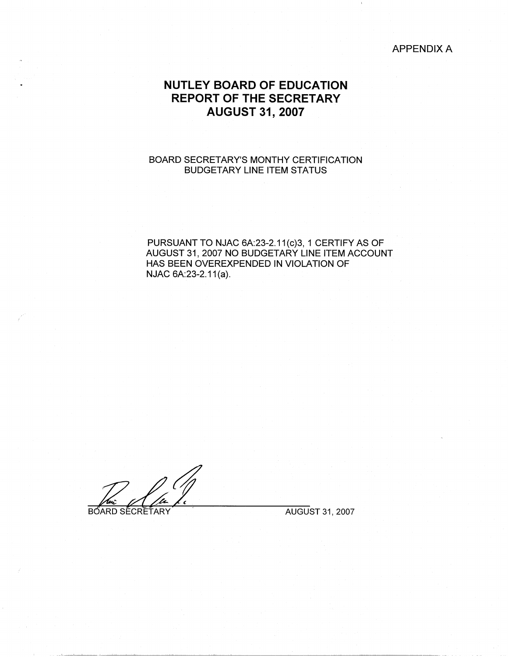## APPENDIX A

# **NUTLEY BOARD OF EDUCATION REPORT OF THE SECRETARY AUGUST 31, 2007**

## BOARD SECRETARY'S MONTHY CERTIFICATION BUDGETARY LINE ITEM STATUS

PURSUANT TO NJAC 6A:23-2.11(c)3, 1 CERTIFY AS OF AUGUST 31, 2007 NO BUDGETARY LINE ITEM ACCOUNT HAS BEEN OVEREXPENDED IN VIOLATION OF NJAC 6A:23-2.11(a).

BOARD SECRETARY **The CONGLET OF STATE AUGUST 31, 2007**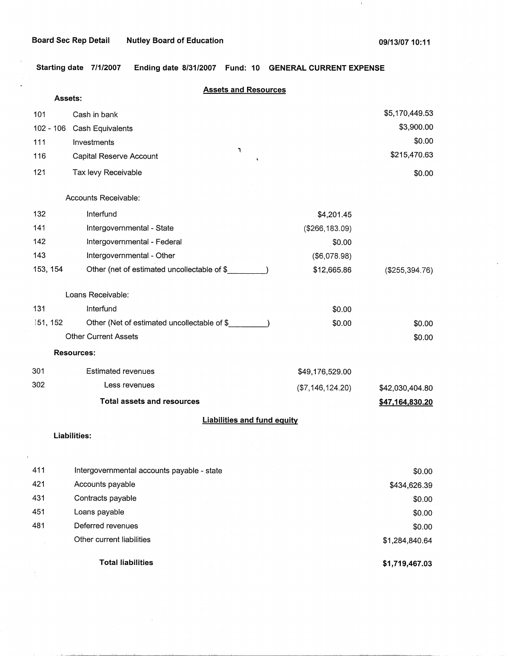$\mathbf{1}$ 

**Starting date 7/1/2007 Ending date 8/31/2007 Fund: 10 GENERAL CURRENT EXPENSE** 

|             | <b>Assets and Resources</b>                 |                                    |                   |
|-------------|---------------------------------------------|------------------------------------|-------------------|
| Assets:     |                                             |                                    |                   |
| 101         | Cash in bank                                |                                    | \$5,170,449.53    |
| $102 - 106$ | Cash Equivalents                            |                                    | \$3,900.00        |
| 111         | Investments<br>٦                            |                                    | \$0.00            |
| 116         | Capital Reserve Account                     |                                    | \$215,470.63      |
| 121         | Tax levy Receivable                         |                                    | \$0.00            |
|             | Accounts Receivable:                        |                                    |                   |
| 132         | Interfund                                   | \$4,201.45                         |                   |
| 141         | Intergovernmental - State                   | (\$266, 183.09)                    |                   |
| 142         | Intergovernmental - Federal                 | \$0.00                             |                   |
| 143         | Intergovernmental - Other                   | (\$6,078.98)                       |                   |
| 153, 154    | Other (net of estimated uncollectable of \$ | \$12,665.86                        | $($ \$255,394.76) |
|             | Loans Receivable:                           |                                    |                   |
| 131         | Interfund                                   | \$0.00                             |                   |
| 151, 152    | Other (Net of estimated uncollectable of \$ | \$0.00                             | \$0.00            |
|             | <b>Other Current Assets</b>                 |                                    | \$0.00            |
|             | <b>Resources:</b>                           |                                    |                   |
| 301         | <b>Estimated revenues</b>                   | \$49,176,529.00                    |                   |
| 302         | Less revenues                               | (\$7, 146, 124.20)                 | \$42,030,404.80   |
|             | <b>Total assets and resources</b>           |                                    | \$47,164,830.20   |
|             |                                             | <b>Liabilities and fund equity</b> |                   |
|             | Liabilities:                                |                                    |                   |
|             |                                             |                                    |                   |
| 411         | Intergovernmental accounts payable - state  |                                    | \$0.00            |
| 421         | Accounts payable                            |                                    | \$434,626.39      |
| 431         | Contracts payable                           |                                    | \$0.00            |
| 451         | Loans payable                               |                                    | \$0.00            |
| 481         | Deferred revenues                           |                                    | \$0.00            |
|             | Other current liabilities                   |                                    | \$1,284,840.64    |

**Total liabilities** 

À.

**\$1,719,467.03**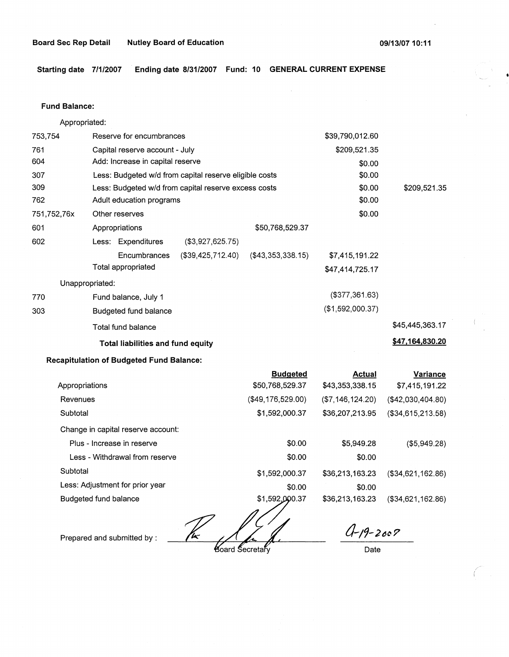**Starting date 7/1/2007 Ending date 8/31/2007 Fund: 10 GENERAL CURRENT EXPENSE** 

#### **Fund Balance:**

753,754 761 604 307 309 Appropriated: Reserve for encumbrances Capital reserve account - July Add: Increase in capital reserve Less: Budgeted w/d from capital reserve eligible costs Less: Budgeted w/d from capital reserve excess costs \$39,790,012.60 \$209,521.35 \$0.00 \$0.00 \$0.00 762 751,752,76x 601 Adult education programs  $$0.00$ 602 770 303 Other reserves \$0.00 Appropriations Less: Expenditures (\$3,927,625.75) Encumbrances (\$39,425,712-40) Total appropriated Unappropriated: Fund balance, July 1 Budgeted fund balance Total fund balance **Total liabilities and fund equity Recapitulation of Budgeted Fund Balance:**  Appropriations Revenues **Subtotal** \$50,768,529.37 (\$43,353,338.15) \$7,415,191.22 \$47,414,725.17 (\$377,361.63) (\$1,592,000.37) **Budgeted Actual**  \$50,768,529.37 \$43,353,338.15 (\$49,176,529.00) (\$7,146,124.20) \$1,592,000.37 \$36,207,213.95 \$209,521.35 \$45,445,363.17 **\$47,164,830.20 Variance**  \$7,415,191.22 (\$42,030,404.80) (\$34,615,213.58)

Change in capital reserve account:

| Plus - Increase in reserve      | \$0.00         | \$5,949.28      | (\$5,949.28)         |
|---------------------------------|----------------|-----------------|----------------------|
| Less - Withdrawal from reserve  | \$0.00         | \$0.00          |                      |
| Subtotal                        | \$1,592,000.37 | \$36,213,163.23 | $($ \$34,621,162.86) |
| Less: Adjustment for prior year | \$0.00         | \$0.00          |                      |
| Budgeted fund balance           | \$1,592,000.37 | \$36,213,163.23 | (\$34,621,162.86)    |

Prepared and submitted by :  $\frac{1}{k}$   $\frac{1}{k}$   $\frac{1}{k}$   $\frac{1}{k}$   $\frac{1}{k}$   $\frac{1}{k}$   $\frac{1}{k}$   $\frac{1}{k}$   $\frac{1}{k}$   $\frac{1}{k}$   $\frac{1}{k}$   $\frac{1}{k}$   $\frac{1}{k}$   $\frac{1}{k}$   $\frac{1}{k}$   $\frac{1}{k}$   $\frac{1}{k}$   $\frac{1}{k}$   $\frac{1}{k}$   $\frac$ 

**Board Secretarv** 

Date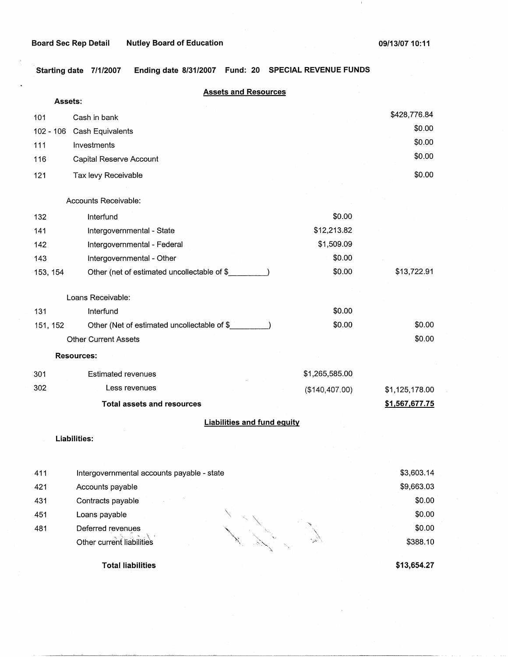$\mathbf{I}$ 

**Starting date 7/1/2007 Ending date 8/31/2007 Fund: 20 SPECIAL REVENUE FUNDS** 

|           | <b>Assets and Resources</b>                 |                |                |
|-----------|---------------------------------------------|----------------|----------------|
|           | Assets:                                     |                |                |
| 101       | Cash in bank                                |                | \$428,776.84   |
| 102 - 106 | Cash Equivalents                            |                | \$0.00         |
| 111       | Investments                                 |                | \$0.00         |
| 116       | Capital Reserve Account                     |                | \$0.00         |
| 121       | Tax levy Receivable                         |                | \$0.00         |
|           |                                             |                |                |
|           | Accounts Receivable:                        |                |                |
| 132       | Interfund                                   | \$0.00         |                |
| 141       | Intergovernmental - State                   | \$12,213.82    |                |
| 142       | Intergovernmental - Federal                 | \$1,509.09     |                |
| 143       | Intergovernmental - Other                   | \$0.00         |                |
| 153, 154  | Other (net of estimated uncollectable of \$ | \$0.00         | \$13,722.91    |
|           | Loans Receivable:                           |                |                |
| 131       | Interfund                                   | \$0.00         |                |
| 151, 152  | Other (Net of estimated uncollectable of \$ | \$0.00         | \$0.00         |
|           | <b>Other Current Assets</b>                 |                | \$0.00         |
|           | <b>Resources:</b>                           |                |                |
| 301       | <b>Estimated revenues</b>                   | \$1,265,585.00 |                |
| 302       | Less revenues                               | (\$140,407.00) | \$1,125,178.00 |
|           | <b>Total assets and resources</b>           |                | \$1,567,677.75 |
|           | <b>Liabilities and fund equity</b>          |                |                |
|           | Liabilities:                                |                |                |
|           |                                             |                |                |
| 411       | Intergovernmental accounts payable - state  |                | \$3,603.14     |
| 421       | Accounts payable                            |                | \$9,663.03     |
| 431       | Contracts payable                           |                | \$0.00         |
| 451       | Loans payable                               |                | \$0.00         |
| 481       | Deferred revenues                           |                | \$0.00         |
|           | Other current liabilities                   |                | \$388.10       |

**Total liabilities** 

**\$13,654.27**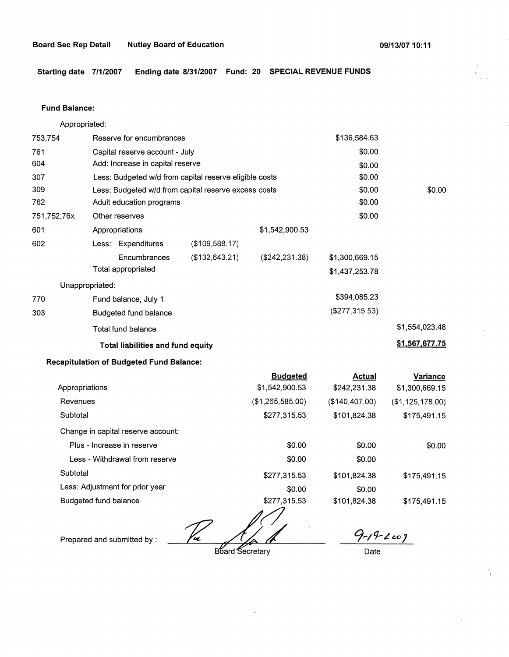**Starting date 7/1/2007 Ending date 8/31/2007 Fund: 20 SPECIAL REVENUE FUNDS** 

#### **Fund Balance:**

753,754 761 604 307 309 Appropriated: Reserve for encumbrances Capital reserve account - July Add: Increase in capital reserve Less: Budgeted w/d from capital reserve eligible costs Less: Budgeted w/d from capital reserve excess costs \$136,584.63 \$0.00 \$0.00 \$0.00 \$0.00 762 751,752,76x 601 Adult education programs  $$0.00$ 602 770 303 Other reserves \$0.00 Appropriations Less: Expenditures (\$109,588.17) **Encumbrances** Total appropriated Unappropriated: Fund balance, July 1 Budgeted fund balance Total fund balance (\$132,643.21) **Total liabilities and fund equity Recapitulation of Budgeted Fund Balance:**  \$1,542,900.53 (\$242,231.38) \$1,300,669.15 \$1,437,253.78 \$394,085.23 (\$277,315.53) \$0.00 \$1,554,023.48 **\$1,567,677.75** 

|                                    | <b>Budgeted</b>            | <b>Actual</b>     | Variance         |
|------------------------------------|----------------------------|-------------------|------------------|
| Appropriations                     | \$1,542,900.53             | \$242,231.38      | \$1,300,669.15   |
| Revenues                           | (\$1,265,585.00)           | $($ \$140,407.00) | (\$1,125,178.00) |
| Subtotal                           | \$277,315.53               | \$101,824.38      | \$175,491.15     |
| Change in capital reserve account: |                            |                   |                  |
| Plus - Increase in reserve         | \$0.00                     | \$0.00            | \$0.00           |
| Less - Withdrawal from reserve     | \$0.00                     | \$0.00            |                  |
| Subtotal                           | \$277,315.53               | \$101.824.38      | \$175,491.15     |
| Less: Adjustment for prior year    | \$0.00                     | \$0.00            |                  |
| Budgeted fund balance              | \$277,315.53<br>$\sqrt{ }$ | \$101,824.38      | \$175,491.15     |

Prepared and submitted by :  $\frac{1}{4}$  **C A**  $\frac{1}{4}$  **C**  $\frac{1}{4}$  **C**  $\frac{1}{4}$  **C**  $\frac{1}{4}$  **C**  $\frac{1}{4}$  **C**  $\frac{1}{4}$  **C**  $\frac{1}{4}$  **C**  $\frac{1}{4}$  **C**  $\frac{1}{4}$  **C**  $\frac{1}{4}$  **C**  $\frac{1}{4}$  **C**  $\frac{1}{4}$  **C**  $\frac{1}{4$ 

**Board Secretary** 

\

Date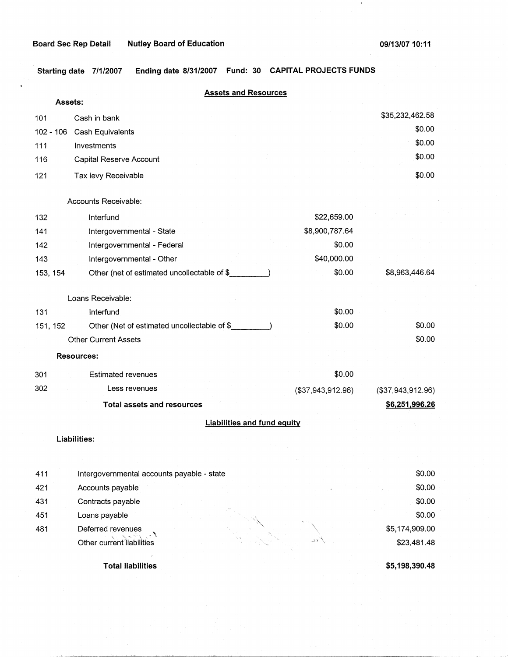$\mathbf{1}$ 

**Starting date 7/1/2007 Ending date 8/31/2007 Fund: 30 CAPITAL PROJECTS FUNDS** 

|             | <b>Assets and Resources</b>                 |                   |                   |
|-------------|---------------------------------------------|-------------------|-------------------|
|             | Assets:                                     |                   |                   |
| 101         | Cash in bank                                |                   | \$35,232,462.58   |
| $102 - 106$ | Cash Equivalents                            |                   | \$0.00            |
| 111         | Investments                                 |                   | \$0.00            |
| 116         | Capital Reserve Account                     |                   | \$0.00            |
| 121         | Tax levy Receivable                         |                   | \$0.00            |
|             | Accounts Receivable:                        |                   |                   |
|             |                                             |                   |                   |
| 132         | Interfund                                   | \$22,659.00       |                   |
| 141         | Intergovernmental - State                   | \$8,900,787.64    |                   |
| 142         | Intergovernmental - Federal                 | \$0.00            |                   |
| 143         | Intergovernmental - Other                   | \$40,000.00       |                   |
| 153, 154    | Other (net of estimated uncollectable of \$ | \$0.00            | \$8,963,446.64    |
|             | Loans Receivable:                           |                   |                   |
| 131         | Interfund                                   | \$0.00            |                   |
| 151, 152    | Other (Net of estimated uncollectable of \$ | \$0.00            | \$0.00            |
|             | <b>Other Current Assets</b>                 |                   | \$0.00            |
|             | <b>Resources:</b>                           |                   |                   |
| 301         | <b>Estimated revenues</b>                   | \$0.00            |                   |
| 302         | Less revenues                               | (\$37,943,912.96) | (\$37,943,912.96) |
|             | <b>Total assets and resources</b>           |                   | \$6,251,996.26    |
|             | <b>Liabilities and fund equity</b>          |                   |                   |
|             | <b>Liabilities:</b>                         |                   |                   |
|             |                                             |                   |                   |
| 411         | Intergovernmental accounts payable - state  |                   | \$0.00            |
| 421         | Accounts payable                            |                   | \$0.00            |
| 431         | Contracts payable                           |                   | \$0.00            |
| 451         | Loans payable                               |                   | \$0.00            |
| 481         | Deferred revenues                           |                   | \$5,174,909.00    |
|             | Other current liabilities                   | 33                | \$23,481.48       |

**Total liabilities** 

**\$5,198,390.48**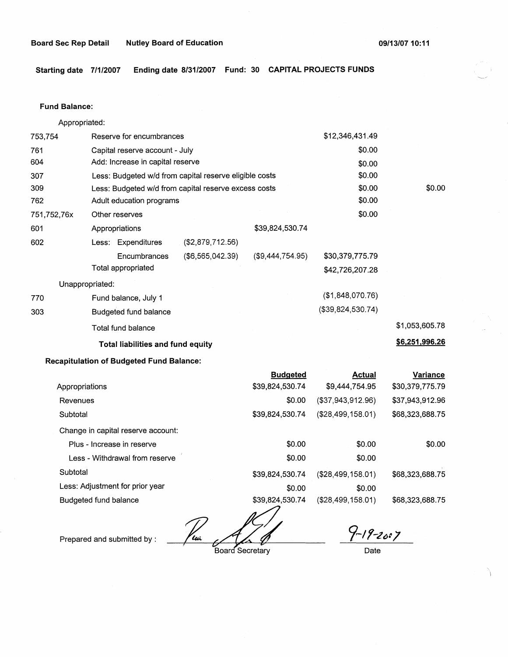**Starting date 7/1/2007 Ending date 8/31/2007 Fund: 30 CAPITAL PROJECTS FUNDS** 

#### **Fund Balance:**

753,754 761 604 Appropriated: Reserve for encumbrances Capital reserve account - July Add: Increase in capital reserve 307 309 762 751,752,76x 601 Less: Budgeted w/d from capital reserve eligible costs Less: Budgeted w/d from capital reserve excess costs Adult education programs 602 770 303 Other reserves Appropriations Less: Expenditures **Encumbrances** Total appropriated Unappropriated: Fund balance, July 1 Budgeted fund balance Total fund balance (\$2,879,712.56) (\$6,565,042.39) **Total liabilities and fund equity Recapitulation of Budgeted Fund Balance:**  \$39,824,530.74 (\$9,444,754.95) **Budgeted**  \$12,346,431.49 \$0.00 \$0.00 \$0.00 \$0.00 \$0.00 \$0.00 \$30,379,775.79 \$42,726,207.28 (\$1,848,070.76) (\$39,824,530.74) \$0.00 \$1,053,605.78 **\$6,251,996.26** 

|                                    | <b>Budgeted</b>      | Actual               | Variance        |
|------------------------------------|----------------------|----------------------|-----------------|
| Appropriations                     | \$39,824,530.74      | \$9,444,754.95       | \$30,379,775.79 |
| Revenues                           | \$0.00               | (\$37,943,912.96)    | \$37,943,912.96 |
| Subtotal                           | \$39,824,530.74      | $($ \$28,499,158.01) | \$68,323,688.75 |
| Change in capital reserve account: |                      |                      |                 |
| Plus - Increase in reserve         | \$0.00               | \$0.00               | \$0.00          |
| Less - Withdrawal from reserve     | \$0.00               | \$0.00               |                 |
| Subtotal                           | \$39,824,530.74      | (\$28,499,158.01)    | \$68,323,688.75 |
| Less: Adjustment for prior year    | \$0.00               | \$0.00               |                 |
| Budgeted fund balance              | \$39,824,530.74<br>╱ | (\$28,499,158.01)    | \$68,323,688.75 |

Prepared and submitted by : The Color Board Secretary

*9,\_1,-21>1J* 

Date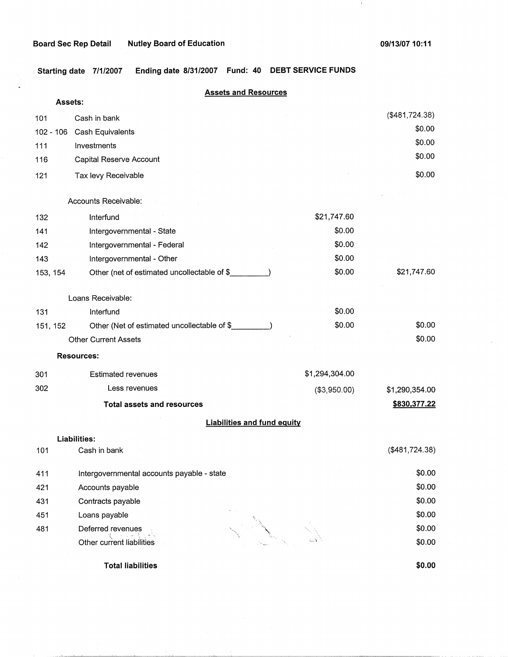$\mathbf{r}$ 

 $\langle 1 \rangle$ 

<sup>1</sup>**Starting date 7/1/2007 Ending date 8/31/2007 Fund: 40 DEBT SERVICE FUNDS** 

|             | <b>Assets and Resources</b><br>Assets:      |                |                |
|-------------|---------------------------------------------|----------------|----------------|
| 101         | Cash in bank                                |                | (\$481,724.38) |
| $102 - 106$ | Cash Equivalents                            |                | \$0.00         |
| 111         | Investments                                 |                | \$0.00         |
| 116         | Capital Reserve Account                     |                | \$0.00         |
| 121         | Tax levy Receivable                         |                | \$0.00         |
|             | Accounts Receivable:                        |                |                |
| 132         | Interfund                                   | \$21,747.60    |                |
| 141         | Intergovernmental - State                   | \$0.00         |                |
| 142         | Intergovernmental - Federal                 | \$0.00         |                |
| 143         | Intergovernmental - Other                   | \$0.00         |                |
| 153, 154    | Other (net of estimated uncollectable of \$ | \$0.00         | \$21,747.60    |
|             | Loans Receivable:                           |                |                |
| 131         | Interfund                                   | \$0.00         |                |
| 151, 152    | Other (Net of estimated uncollectable of \$ | \$0.00         | \$0.00         |
|             | <b>Other Current Assets</b>                 |                | \$0.00         |
|             | <b>Resources:</b>                           |                |                |
| 301         | Estimated revenues                          | \$1,294,304.00 |                |
| 302         | Less revenues                               | (\$3,950.00)   | \$1,290,354.00 |
|             | <b>Total assets and resources</b>           |                | \$830,377.22   |
|             | <b>Liabilities and fund equity</b>          |                |                |
|             | Liabilities:                                |                |                |
| 101         | Cash in bank                                |                | (\$481,724.38) |
| 411         | Intergovernmental accounts payable - state  |                | \$0.00         |
| 421         | Accounts payable                            |                | \$0.00         |
| 431         | Contracts payable                           |                | \$0.00         |
| 451         | Loans payable                               |                | \$0.00         |
| 481         | Deferred revenues                           |                | \$0.00         |
|             | Other current liabilities                   |                | \$0.00         |
|             | <b>Total liabilities</b>                    |                | \$0.00         |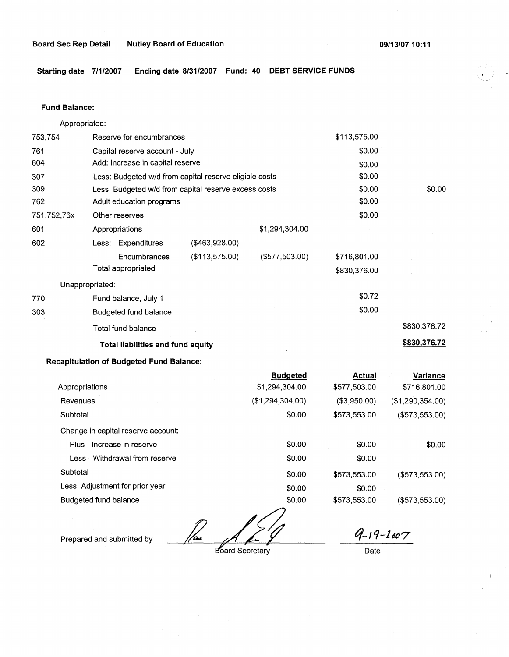**Starting date 7/1/2007 Ending date 8/31/2007 Fund: 40 DEBT SERVICE FUNDS** 

### **Fund Balance:**

753,754 761 604 307 309 Appropriated: Reserve for encumbrances Capital reserve account - July Add: Increase in capital reserve Less: Budgeted w/d from capital reserve eligible costs Less: Budgeted w/d from capital reserve excess costs \$113,575.00 \$0.00 \$0.00 \$0.00 \$0.00 762 751,752,76x 601 Adult education programs  $$0.00$ 602 770 303 Other reserves \$0.00 Appropriations \$1,294,304.00 Less: Expenditures (\$463,928.00) **Encumbrances** Total appropriated Unappropriated: Fund balance, July 1 Budgeted fund balance Total fund balance (\$113,575.00) **Total liabilities and fund equity Recapitulation of Budgeted Fund Balance:**  Appropriations Revenues **Subtotal** Change in capital reserve account: Plus - Increase in reserve Less - Withdrawal from reserve **Subtotal** Less: Adjustment for prior year (\$577,503.00) **Budgeted**  \$1,294,304.00 (\$1,294,304.00) \$0.00 \$0.00 \$0.00 \$0.00 \$0.00 \$716,801.00 \$830,376.00 \$0.72 \$0.00 **Actual**  \$577,503.00 (\$3,950.00) \$573,553.00 \$0.00 \$0.00 \$573,553.00 \$0.00 \$0.00 \$830,376.72 **\$830,376.72 Variance**  \$716,801.00 (\$1,290,354.00) (\$573,553.00) \$0.00 (\$573,553.00)

Budgeted fund balance

Prepared and submitted by : *gase of the gase of the gase of 19-19-l607* 

\$0.00

(\$573,553.00)

Board Secretary

\$573,553.00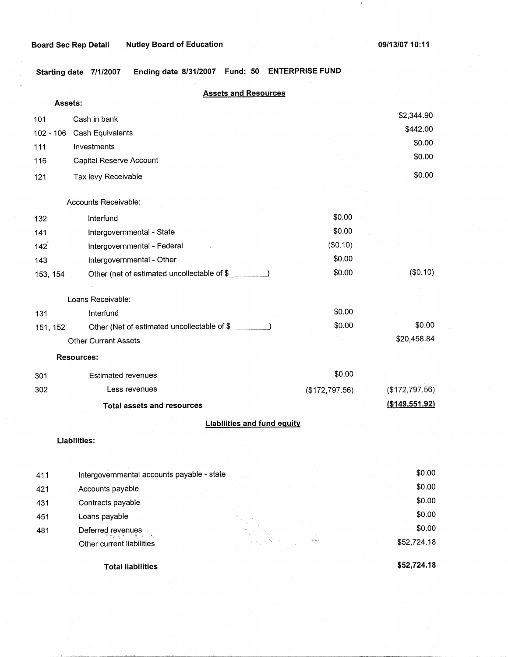**Board Sec Rep Detail Nutley Board of Education** 

 $\langle 1 \rangle$ 

**Starting date 7/1/2007 Ending date 8/31/2007 Fund: 50 ENTERPRISE FUND** 

|           |                                             | <b>Assets and Resources</b>        |                |                  |
|-----------|---------------------------------------------|------------------------------------|----------------|------------------|
| Assets:   |                                             |                                    |                |                  |
| 101       | Cash in bank                                |                                    |                | \$2,344.90       |
| 102 - 106 | Cash Equivalents                            |                                    |                | \$442.00         |
| 111       | Investments                                 |                                    |                | \$0.00           |
| 116       | Capital Reserve Account                     |                                    |                | \$0.00           |
| 121       | Tax levy Receivable                         |                                    |                | \$0.00           |
|           |                                             |                                    |                |                  |
|           | Accounts Receivable:                        |                                    |                |                  |
| 132       | Interfund                                   |                                    | \$0.00         |                  |
| 141       | Intergovernmental - State                   |                                    | \$0.00         |                  |
| 142       | Intergovernmental - Federal                 |                                    | (\$0.10)       |                  |
| 143       | Intergovernmental - Other                   |                                    | \$0.00         |                  |
| 153, 154  | Other (net of estimated uncollectable of \$ |                                    | \$0.00         | (\$0.10)         |
|           |                                             |                                    |                |                  |
|           | Loans Receivable:                           |                                    |                |                  |
| 131       | Interfund                                   |                                    | \$0.00         |                  |
| 151, 152  | Other (Net of estimated uncollectable of \$ |                                    | \$0.00         | \$0.00           |
|           | <b>Other Current Assets</b>                 |                                    |                | \$20,458.84      |
|           | <b>Resources:</b>                           |                                    |                |                  |
| 301       | <b>Estimated revenues</b>                   |                                    | \$0.00         |                  |
| 302       | Less revenues                               |                                    | (\$172,797.56) | (\$172,797.56)   |
|           | <b>Total assets and resources</b>           |                                    |                | ( \$149, 551.92) |
|           |                                             | <b>Liabilities and fund equity</b> |                |                  |
|           |                                             |                                    |                |                  |
|           | Liabilities:                                |                                    |                |                  |
|           |                                             |                                    |                |                  |
| 411       | Intergovernmental accounts payable - state  |                                    |                | \$0.00           |
| 421       | Accounts payable                            |                                    |                | \$0.00           |
| 431       | Contracts payable                           |                                    |                | \$0.00           |
| 451       | Loans payable                               |                                    |                | \$0.00           |
| 481       | Deferred revenues<br>23. K.T                |                                    |                | \$0.00           |
|           | ف با<br>Other current liabilities           |                                    | どうき            | \$52,724.18      |

**Total liabilities** 

بتقطيبه الثو ЛV.

**\$52,724.18**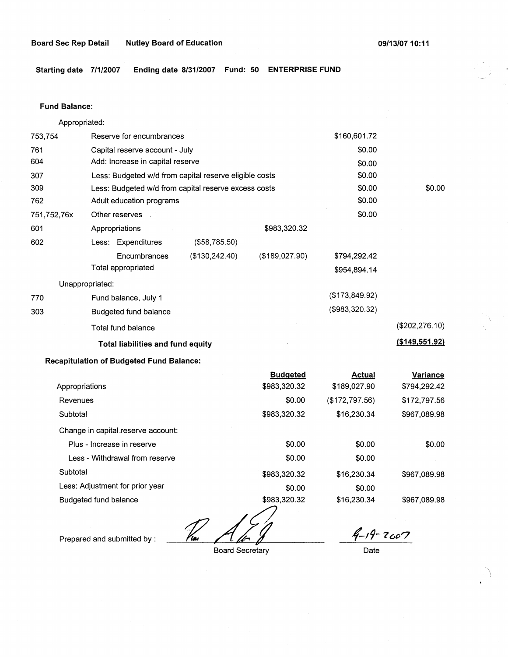**Starting date 7/1/2007 Ending date 8/31/2007 Fund: 50 ENTERPRISE FUND** 

#### **Fund Balance:**

753,754 761 604 Appropriated: Reserve for encumbrances Capital reserve account - July Add: Increase in capital reserve 307 309 762 751,752,76x 601 Less: Budgeted w/d from capital reserve eligible costs Less: Budgeted w/d from capital reserve excess costs Adult education programs 602 770 303 Other reserves Appropriations Less: Expenditures **Encumbrances** Total appropriated Unappropriated: Fund balance, July 1 Budgeted fund balance Total fund balance (\$58,785.50) (\$130,242.40) \$983,320.32 (\$189,027.90) **Total liabilities and fund equity Recapitulation of Budgeted Fund Balance:**  Appropriations Revenues **Subtotal** Change in capital reserve account: Plus - Increase in reserve Less - Withdrawal from reserve **Subtotal** Less: Adjustment for prior year **Budgeted**  \$983,320.32 \$0.00 \$983,320.32 \$0.00 \$0.00 \$983,320.32 \$0.00 \$160,601.72 \$0.00 \$0.00 \$0.00 \$0.00 \$0.00 \$0.00 \$794,292.42 \$954,894.14 (\$173,849.92) (\$983,320.32) **Actual**  \$189,027.90 (\$172,797.56) \$16,230.34 \$0.00 \$0.00 \$16,230.34 \$0.00 \$0.00 (\$202,276.10) **(\$149,551.92) Variance**  \$794,292.42 \$172,797.56 \$967,089.98 \$0.00 \$967,089.98

<u>Nu Alor</u>

Prepared and submitted by :

Budgeted fund balance

Board Secretary

\$983,320.32

*(-, 9-***<sup>7</sup>***c,t>?* 

\$967,089.98

Date

\$16,230.34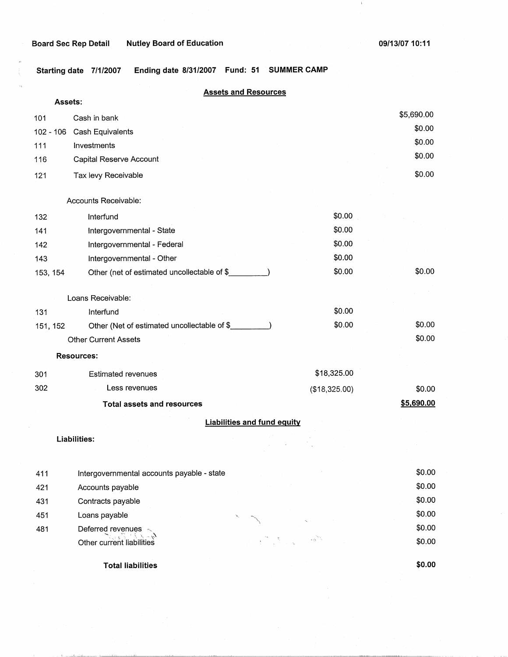**Board Sec Rep Detail Mutley Board of Education 1999 12:00 13:00 10:11 1999 13:00 10:11** 

 $\overline{1}$ 

**Starting date 7/1/2007 Ending date 8/31/2007 Fund: 51 SUMMER CAMP** 

|                |                                              | <b>Assets and Resources</b>        |               |            |
|----------------|----------------------------------------------|------------------------------------|---------------|------------|
| <b>Assets:</b> |                                              |                                    |               |            |
| 101            | Cash in bank                                 |                                    |               | \$5,690.00 |
| $102 - 106$    | Cash Equivalents                             |                                    |               | \$0.00     |
| 111            | Investments                                  |                                    |               | \$0.00     |
| 116            | Capital Reserve Account                      |                                    |               | \$0.00     |
| 121            | Tax levy Receivable                          |                                    |               | \$0.00     |
|                | Accounts Receivable:                         |                                    |               |            |
| 132            | Interfund                                    |                                    | \$0.00        |            |
| 141            | Intergovernmental - State                    |                                    | \$0.00        |            |
| 142            | Intergovernmental - Federal                  |                                    | \$0.00        |            |
| 143            | Intergovernmental - Other                    |                                    | \$0.00        |            |
| 153, 154       | Other (net of estimated uncollectable of \$  |                                    | \$0.00        | \$0.00     |
|                | Loans Receivable:                            |                                    |               |            |
| 131            | Interfund                                    |                                    | \$0.00        |            |
| 151, 152       | Other (Net of estimated uncollectable of \$_ |                                    | \$0.00        | \$0.00     |
|                | <b>Other Current Assets</b>                  |                                    |               | \$0.00     |
|                | <b>Resources:</b>                            |                                    |               |            |
| 301            | <b>Estimated revenues</b>                    |                                    | \$18,325.00   |            |
| 302            | Less revenues                                |                                    | (\$18,325.00) | \$0.00     |
|                | <b>Total assets and resources</b>            |                                    |               | \$5,690.00 |
|                |                                              | <b>Liabilities and fund equity</b> |               |            |
|                | Liabilities:                                 |                                    |               |            |
| 411            | Intergovernmental accounts payable - state   |                                    |               | \$0.00     |
| 421            | Accounts payable                             |                                    |               | \$0.00     |
| 431            | Contracts payable                            |                                    |               | \$0.00     |

,\_ • 1\

Deferred revenu~s .. ,...,; -·; "~; - 'i. \ --\::i. Other current liabilities

مستحصر ومنقشقات بالمستحدث

451 481

**Total liabilities** 

Loans payable  $\sim$ 

**\$0.00** 

\$0.00 \$0.00 \$0.00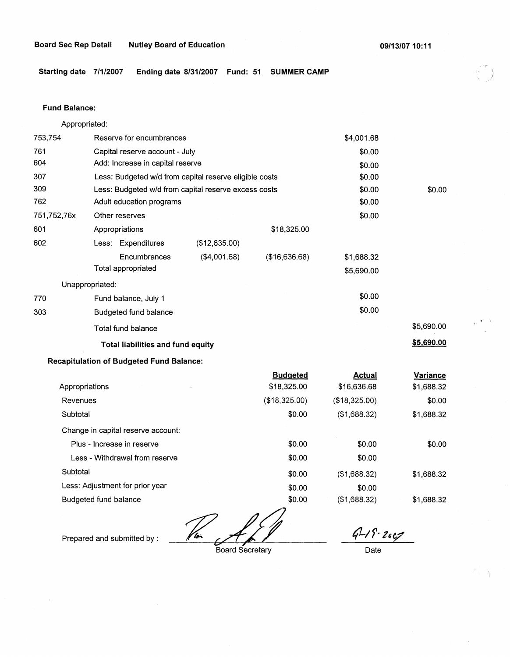)

**Starting date 7/1/2007 Ending date 8/31/2007 Fund: 51 SUMMER CAMP** 

### **Fund Balance:**

753,754 761 604 Appropriated: Reserve for encumbrances Capital reserve account - July Add: Increase in capital reserve 307 309 762 751,752, 76x 601 Less: Budgeted w/d from capital reserve eligible costs Less: Budgeted w/d from capital reserve excess costs Adult education programs 602 770 303 Other reserves Appropriations Less: Expenditures **Encumbrances** Total appropriated Unappropriated: Fund balance, July 1 Budgeted fund balance Total fund balance (\$12,635.00) (\$4,001.68) \$18,325.00 (\$16,636.68) **Total liabilities and fund equity Recapitulation of Budgeted Fund Balance:**  Appropriations Revenues **Subtotal** Change in capital reserve account: Plus - Increase in reserve Less - Withdrawal from reserve **Subtotal** Less: Adjustment for prior year **Budgeted**  \$18,325.00 (\$18,325.00) \$0.00 \$0.00 \$0.00 \$0.00 \$0.00 \$4,001.68 \$0.00 \$0.00 \$0.00 \$0.00 \$0.00 \$0.00 \$1,688.32 \$5,690.00 \$0.00 \$0.00 **Actual**  \$16,636.68 (\$18,325.00) (\$1,688.32) \$0.00 \$0.00 (\$1,688.32) \$0.00 \$0.00 \$5,690.00 **\$5,690.00 Variance**  \$1,688.32 \$0.00 \$1,688.32 \$0.00 \$1,688.32

Budgeted fund balance

*<u>For definition</u>* 

Prepared and submitted by :

Board Secretary

\$0.00

*47-1* **r-***z,ey* 

\$1,688.32

Date

(\$1,688.32)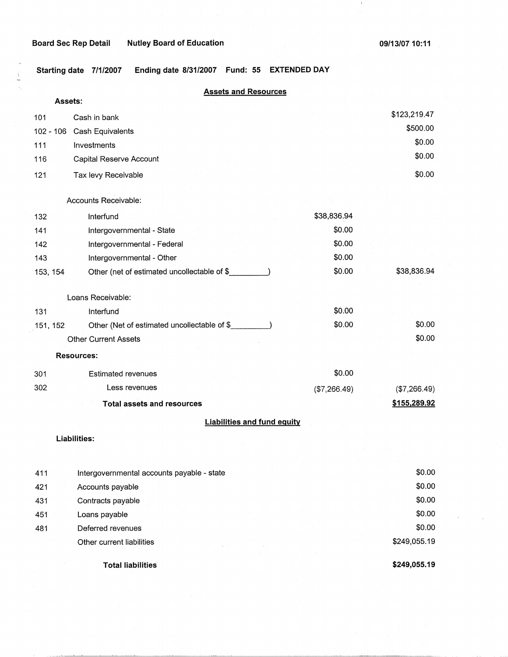# **Board Sec Rep Detail Nutley Board of Education**

 $\frac{1}{2}$  $\hat{\mathcal{S}}_j$ 

**Total liabilities** 

 $\,$   $\,$ 

**\$249,055.19** 

**Starting date 7/1/2007 Ending date 8/31/2007 Fund: 55 EXTENDED DAY** 

|             | <b>Assets and Resources</b>                 |              |              |
|-------------|---------------------------------------------|--------------|--------------|
| Assets:     |                                             |              |              |
| 101         | Cash in bank                                |              | \$123,219.47 |
| $102 - 106$ | Cash Equivalents                            |              | \$500.00     |
| 111         | Investments                                 |              | \$0.00       |
| 116         | Capital Reserve Account                     |              | \$0.00       |
| 121         | Tax levy Receivable                         |              | \$0.00       |
|             | Accounts Receivable:                        |              |              |
| 132         | Interfund                                   | \$38,836.94  |              |
| 141         | Intergovernmental - State                   | \$0.00       |              |
| 142         | Intergovernmental - Federal                 | \$0.00       |              |
| 143         | Intergovernmental - Other                   | \$0.00       |              |
| 153, 154    | Other (net of estimated uncollectable of \$ | \$0.00       | \$38,836.94  |
|             | Loans Receivable:                           |              |              |
| 131         | Interfund                                   | \$0.00       |              |
| 151, 152    | Other (Net of estimated uncollectable of \$ | \$0.00       | \$0.00       |
|             | <b>Other Current Assets</b>                 |              | \$0.00       |
|             | <b>Resources:</b>                           |              |              |
| 301         | <b>Estimated revenues</b>                   | \$0.00       |              |
| 302         | Less revenues                               | (\$7,266.49) | (\$7,266.49) |
|             | <b>Total assets and resources</b>           |              | \$155,289.92 |
|             | <b>Liabilities and fund equity</b>          |              |              |
|             | Liabilities:                                |              |              |
|             |                                             |              |              |
| 411         | Intergovernmental accounts payable - state  |              | \$0.00       |
| 421         | Accounts payable                            |              | \$0.00       |
| 431         | Contracts payable                           |              | \$0.00       |
| 451         | Loans payable                               |              | \$0.00       |
| 481         | Deferred revenues                           |              | \$0.00       |
|             | Other current liabilities                   |              | \$249,055.19 |
|             |                                             |              |              |